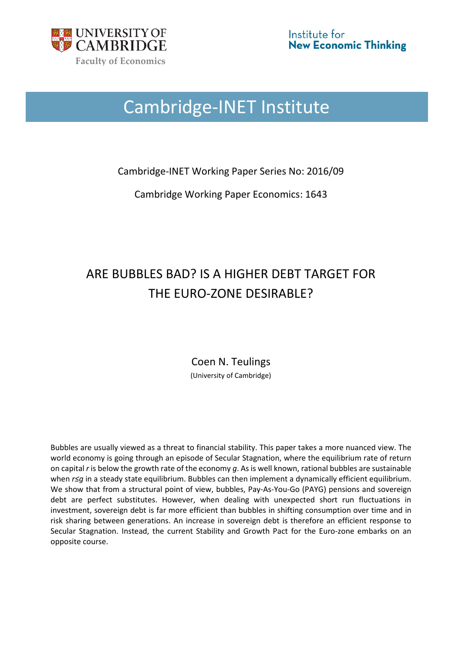

# Cambridge-INET Institute

Cambridge-INET Working Paper Series No: 2016/09

Cambridge Working Paper Economics: 1643

## ARE BUBBLES BAD? IS A HIGHER DEBT TARGET FOR THE EURO-ZONE DESIRABLE?

Coen N. Teulings (University of Cambridge)

Bubbles are usually viewed as a threat to financial stability. This paper takes a more nuanced view. The world economy is going through an episode of Secular Stagnation, where the equilibrium rate of return on capital *r* is below the growth rate of the economy *g*. As is well known, rational bubbles are sustainable when *r≤g* in a steady state equilibrium. Bubbles can then implement a dynamically efficient equilibrium. We show that from a structural point of view, bubbles, Pay-As-You-Go (PAYG) pensions and sovereign debt are perfect substitutes. However, when dealing with unexpected short run fluctuations in investment, sovereign debt is far more efficient than bubbles in shifting consumption over time and in risk sharing between generations. An increase in sovereign debt is therefore an efficient response to Secular Stagnation. Instead, the current Stability and Growth Pact for the Euro-zone embarks on an opposite course.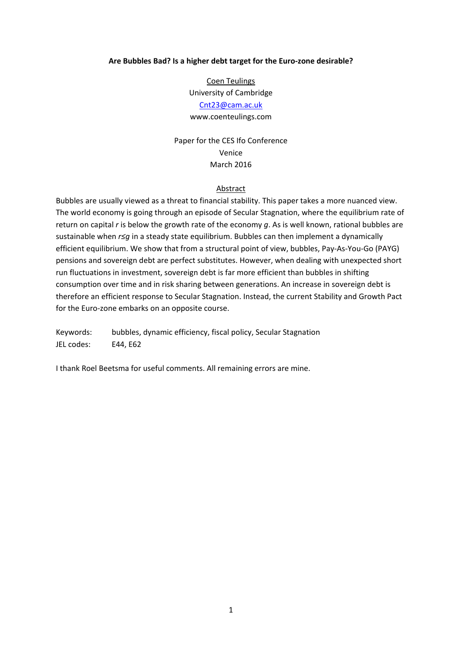#### **Are Bubbles Bad? Is a higher debt target for the Euro-zone desirable?**

Coen Teulings University of Cambridge

#### [Cnt23@cam.ac.uk](mailto:Cnt23@cam.ac.uk)

www.coenteulings.com

Paper for the CES Ifo Conference Venice March 2016

#### Abstract

Bubbles are usually viewed as a threat to financial stability. This paper takes a more nuanced view. The world economy is going through an episode of Secular Stagnation, where the equilibrium rate of return on capital *r* is below the growth rate of the economy *g*. As is well known, rational bubbles are sustainable when *r≤g* in a steady state equilibrium. Bubbles can then implement a dynamically efficient equilibrium. We show that from a structural point of view, bubbles, Pay-As-You-Go (PAYG) pensions and sovereign debt are perfect substitutes. However, when dealing with unexpected short run fluctuations in investment, sovereign debt is far more efficient than bubbles in shifting consumption over time and in risk sharing between generations. An increase in sovereign debt is therefore an efficient response to Secular Stagnation. Instead, the current Stability and Growth Pact for the Euro-zone embarks on an opposite course.

Keywords: bubbles, dynamic efficiency, fiscal policy, Secular Stagnation JEL codes: E44, E62

I thank Roel Beetsma for useful comments. All remaining errors are mine.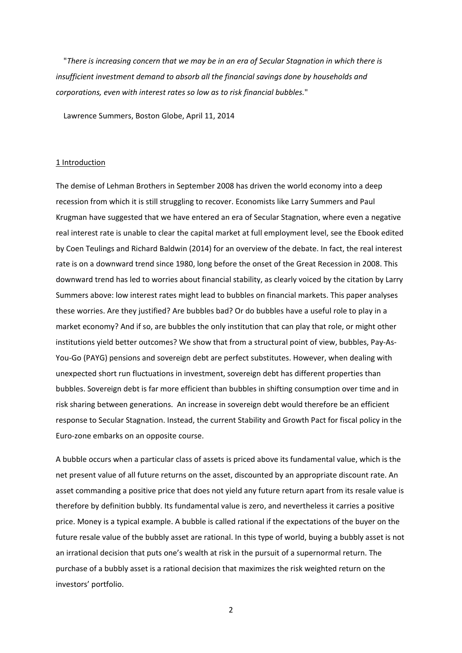"*There is increasing concern that we may be in an era of Secular Stagnation in which there is insufficient investment demand to absorb all the financial savings done by households and corporations, even with interest rates so low as to risk financial bubbles.*"

Lawrence Summers, Boston Globe, April 11, 2014

#### 1 Introduction

The demise of Lehman Brothers in September 2008 has driven the world economy into a deep recession from which it is still struggling to recover. Economists like Larry Summers and Paul Krugman have suggested that we have entered an era of Secular Stagnation, where even a negative real interest rate is unable to clear the capital market at full employment level, see the Ebook edited by Coen Teulings and Richard Baldwin (2014) for an overview of the debate. In fact, the real interest rate is on a downward trend since 1980, long before the onset of the Great Recession in 2008. This downward trend has led to worries about financial stability, as clearly voiced by the citation by Larry Summers above: low interest rates might lead to bubbles on financial markets. This paper analyses these worries. Are they justified? Are bubbles bad? Or do bubbles have a useful role to play in a market economy? And if so, are bubbles the only institution that can play that role, or might other institutions yield better outcomes? We show that from a structural point of view, bubbles, Pay-As-You-Go (PAYG) pensions and sovereign debt are perfect substitutes. However, when dealing with unexpected short run fluctuations in investment, sovereign debt has different properties than bubbles. Sovereign debt is far more efficient than bubbles in shifting consumption over time and in risk sharing between generations. An increase in sovereign debt would therefore be an efficient response to Secular Stagnation. Instead, the current Stability and Growth Pact for fiscal policy in the Euro-zone embarks on an opposite course.

A bubble occurs when a particular class of assets is priced above its fundamental value, which is the net present value of all future returns on the asset, discounted by an appropriate discount rate. An asset commanding a positive price that does not yield any future return apart from its resale value is therefore by definition bubbly. Its fundamental value is zero, and nevertheless it carries a positive price. Money is a typical example. A bubble is called rational if the expectations of the buyer on the future resale value of the bubbly asset are rational. In this type of world, buying a bubbly asset is not an irrational decision that puts one's wealth at risk in the pursuit of a supernormal return. The purchase of a bubbly asset is a rational decision that maximizes the risk weighted return on the investors' portfolio.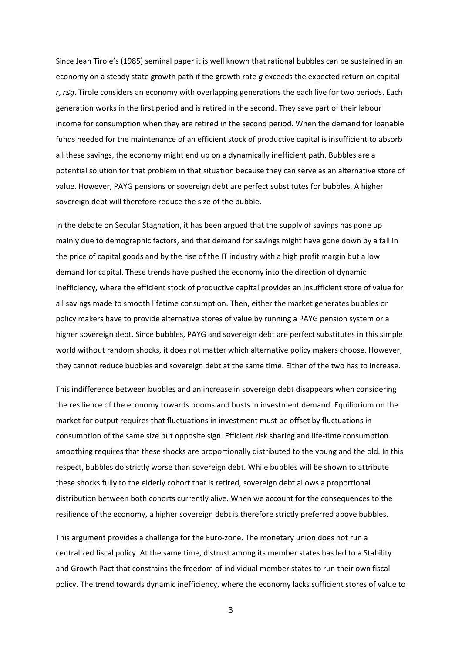Since Jean Tirole's (1985) seminal paper it is well known that rational bubbles can be sustained in an economy on a steady state growth path if the growth rate *g* exceeds the expected return on capital *r*, *r≤g*. Tirole considers an economy with overlapping generations the each live for two periods. Each generation works in the first period and is retired in the second. They save part of their labour income for consumption when they are retired in the second period. When the demand for loanable funds needed for the maintenance of an efficient stock of productive capital is insufficient to absorb all these savings, the economy might end up on a dynamically inefficient path. Bubbles are a potential solution for that problem in that situation because they can serve as an alternative store of value. However, PAYG pensions or sovereign debt are perfect substitutes for bubbles. A higher sovereign debt will therefore reduce the size of the bubble.

In the debate on Secular Stagnation, it has been argued that the supply of savings has gone up mainly due to demographic factors, and that demand for savings might have gone down by a fall in the price of capital goods and by the rise of the IT industry with a high profit margin but a low demand for capital. These trends have pushed the economy into the direction of dynamic inefficiency, where the efficient stock of productive capital provides an insufficient store of value for all savings made to smooth lifetime consumption. Then, either the market generates bubbles or policy makers have to provide alternative stores of value by running a PAYG pension system or a higher sovereign debt. Since bubbles, PAYG and sovereign debt are perfect substitutes in this simple world without random shocks, it does not matter which alternative policy makers choose. However, they cannot reduce bubbles and sovereign debt at the same time. Either of the two has to increase.

This indifference between bubbles and an increase in sovereign debt disappears when considering the resilience of the economy towards booms and busts in investment demand. Equilibrium on the market for output requires that fluctuations in investment must be offset by fluctuations in consumption of the same size but opposite sign. Efficient risk sharing and life-time consumption smoothing requires that these shocks are proportionally distributed to the young and the old. In this respect, bubbles do strictly worse than sovereign debt. While bubbles will be shown to attribute these shocks fully to the elderly cohort that is retired, sovereign debt allows a proportional distribution between both cohorts currently alive. When we account for the consequences to the resilience of the economy, a higher sovereign debt is therefore strictly preferred above bubbles.

This argument provides a challenge for the Euro-zone. The monetary union does not run a centralized fiscal policy. At the same time, distrust among its member states has led to a Stability and Growth Pact that constrains the freedom of individual member states to run their own fiscal policy. The trend towards dynamic inefficiency, where the economy lacks sufficient stores of value to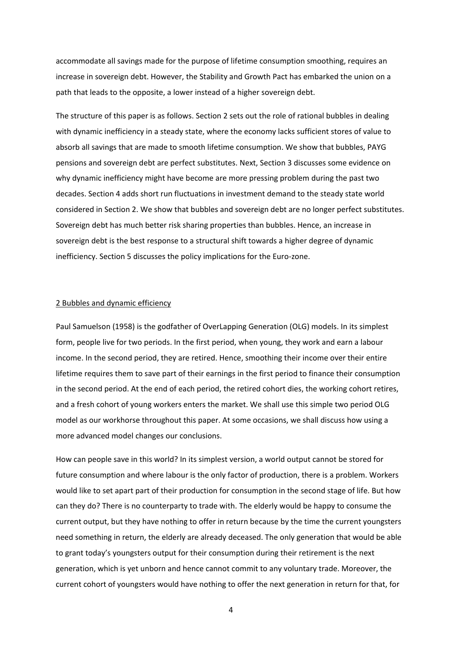accommodate all savings made for the purpose of lifetime consumption smoothing, requires an increase in sovereign debt. However, the Stability and Growth Pact has embarked the union on a path that leads to the opposite, a lower instead of a higher sovereign debt.

The structure of this paper is as follows. Section 2 sets out the role of rational bubbles in dealing with dynamic inefficiency in a steady state, where the economy lacks sufficient stores of value to absorb all savings that are made to smooth lifetime consumption. We show that bubbles, PAYG pensions and sovereign debt are perfect substitutes. Next, Section 3 discusses some evidence on why dynamic inefficiency might have become are more pressing problem during the past two decades. Section 4 adds short run fluctuations in investment demand to the steady state world considered in Section 2. We show that bubbles and sovereign debt are no longer perfect substitutes. Sovereign debt has much better risk sharing properties than bubbles. Hence, an increase in sovereign debt is the best response to a structural shift towards a higher degree of dynamic inefficiency. Section 5 discusses the policy implications for the Euro-zone.

#### 2 Bubbles and dynamic efficiency

Paul Samuelson (1958) is the godfather of OverLapping Generation (OLG) models. In its simplest form, people live for two periods. In the first period, when young, they work and earn a labour income. In the second period, they are retired. Hence, smoothing their income over their entire lifetime requires them to save part of their earnings in the first period to finance their consumption in the second period. At the end of each period, the retired cohort dies, the working cohort retires, and a fresh cohort of young workers enters the market. We shall use this simple two period OLG model as our workhorse throughout this paper. At some occasions, we shall discuss how using a more advanced model changes our conclusions.

How can people save in this world? In its simplest version, a world output cannot be stored for future consumption and where labour is the only factor of production, there is a problem. Workers would like to set apart part of their production for consumption in the second stage of life. But how can they do? There is no counterparty to trade with. The elderly would be happy to consume the current output, but they have nothing to offer in return because by the time the current youngsters need something in return, the elderly are already deceased. The only generation that would be able to grant today's youngsters output for their consumption during their retirement is the next generation, which is yet unborn and hence cannot commit to any voluntary trade. Moreover, the current cohort of youngsters would have nothing to offer the next generation in return for that, for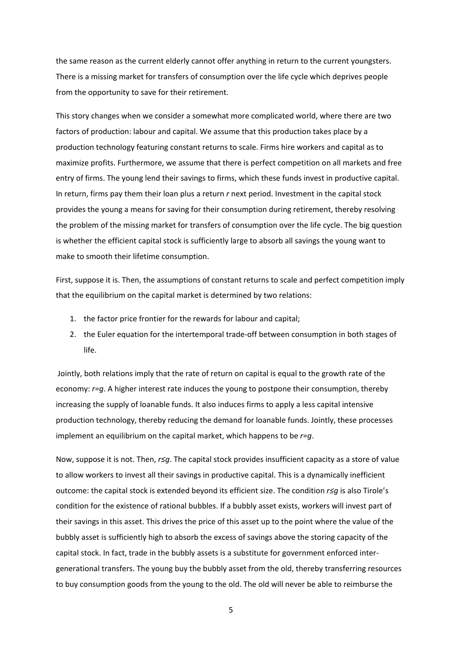the same reason as the current elderly cannot offer anything in return to the current youngsters. There is a missing market for transfers of consumption over the life cycle which deprives people from the opportunity to save for their retirement.

This story changes when we consider a somewhat more complicated world, where there are two factors of production: labour and capital. We assume that this production takes place by a production technology featuring constant returns to scale. Firms hire workers and capital as to maximize profits. Furthermore, we assume that there is perfect competition on all markets and free entry of firms. The young lend their savings to firms, which these funds invest in productive capital. In return, firms pay them their loan plus a return *r* next period. Investment in the capital stock provides the young a means for saving for their consumption during retirement, thereby resolving the problem of the missing market for transfers of consumption over the life cycle. The big question is whether the efficient capital stock is sufficiently large to absorb all savings the young want to make to smooth their lifetime consumption.

First, suppose it is. Then, the assumptions of constant returns to scale and perfect competition imply that the equilibrium on the capital market is determined by two relations:

- 1. the factor price frontier for the rewards for labour and capital;
- 2. the Euler equation for the intertemporal trade-off between consumption in both stages of life.

Jointly, both relations imply that the rate of return on capital is equal to the growth rate of the economy: *r=g*. A higher interest rate induces the young to postpone their consumption, thereby increasing the supply of loanable funds. It also induces firms to apply a less capital intensive production technology, thereby reducing the demand for loanable funds. Jointly, these processes implement an equilibrium on the capital market, which happens to be *r=g*.

Now, suppose it is not. Then, *r≤g*. The capital stock provides insufficient capacity as a store of value to allow workers to invest all their savings in productive capital. This is a dynamically inefficient outcome: the capital stock is extended beyond its efficient size. The condition *r≤g* is also Tirole's condition for the existence of rational bubbles. If a bubbly asset exists, workers will invest part of their savings in this asset. This drives the price of this asset up to the point where the value of the bubbly asset is sufficiently high to absorb the excess of savings above the storing capacity of the capital stock. In fact, trade in the bubbly assets is a substitute for government enforced intergenerational transfers. The young buy the bubbly asset from the old, thereby transferring resources to buy consumption goods from the young to the old. The old will never be able to reimburse the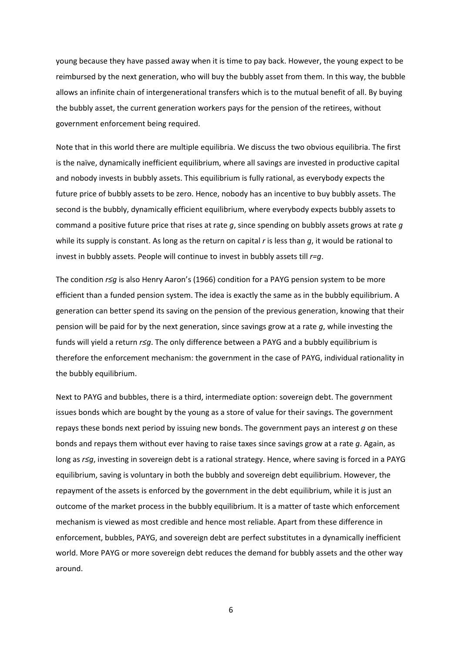young because they have passed away when it is time to pay back. However, the young expect to be reimbursed by the next generation, who will buy the bubbly asset from them. In this way, the bubble allows an infinite chain of intergenerational transfers which is to the mutual benefit of all. By buying the bubbly asset, the current generation workers pays for the pension of the retirees, without government enforcement being required.

Note that in this world there are multiple equilibria. We discuss the two obvious equilibria. The first is the naïve, dynamically inefficient equilibrium, where all savings are invested in productive capital and nobody invests in bubbly assets. This equilibrium is fully rational, as everybody expects the future price of bubbly assets to be zero. Hence, nobody has an incentive to buy bubbly assets. The second is the bubbly, dynamically efficient equilibrium, where everybody expects bubbly assets to command a positive future price that rises at rate *g*, since spending on bubbly assets grows at rate *g* while its supply is constant. As long as the return on capital *r* is less than *g*, it would be rational to invest in bubbly assets. People will continue to invest in bubbly assets till *r=g*.

The condition *r≤g* is also Henry Aaron's (1966) condition for a PAYG pension system to be more efficient than a funded pension system. The idea is exactly the same as in the bubbly equilibrium. A generation can better spend its saving on the pension of the previous generation, knowing that their pension will be paid for by the next generation, since savings grow at a rate *g*, while investing the funds will yield a return *r≤g*. The only difference between a PAYG and a bubbly equilibrium is therefore the enforcement mechanism: the government in the case of PAYG, individual rationality in the bubbly equilibrium.

Next to PAYG and bubbles, there is a third, intermediate option: sovereign debt. The government issues bonds which are bought by the young as a store of value for their savings. The government repays these bonds next period by issuing new bonds. The government pays an interest *g* on these bonds and repays them without ever having to raise taxes since savings grow at a rate *g*. Again, as long as *r≤g*, investing in sovereign debt is a rational strategy. Hence, where saving is forced in a PAYG equilibrium, saving is voluntary in both the bubbly and sovereign debt equilibrium. However, the repayment of the assets is enforced by the government in the debt equilibrium, while it is just an outcome of the market process in the bubbly equilibrium. It is a matter of taste which enforcement mechanism is viewed as most credible and hence most reliable. Apart from these difference in enforcement, bubbles, PAYG, and sovereign debt are perfect substitutes in a dynamically inefficient world. More PAYG or more sovereign debt reduces the demand for bubbly assets and the other way around.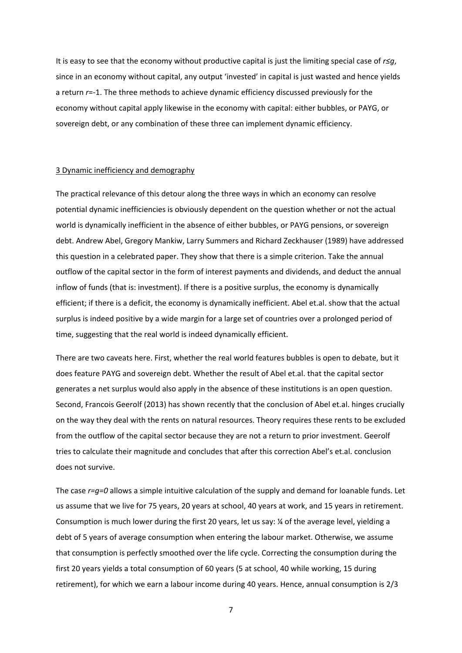It is easy to see that the economy without productive capital is just the limiting special case of *r≤g*, since in an economy without capital, any output 'invested' in capital is just wasted and hence yields a return *r*=-1. The three methods to achieve dynamic efficiency discussed previously for the economy without capital apply likewise in the economy with capital: either bubbles, or PAYG, or sovereign debt, or any combination of these three can implement dynamic efficiency.

#### 3 Dynamic inefficiency and demography

The practical relevance of this detour along the three ways in which an economy can resolve potential dynamic inefficiencies is obviously dependent on the question whether or not the actual world is dynamically inefficient in the absence of either bubbles, or PAYG pensions, or sovereign debt. Andrew Abel, Gregory Mankiw, Larry Summers and Richard Zeckhauser (1989) have addressed this question in a celebrated paper. They show that there is a simple criterion. Take the annual outflow of the capital sector in the form of interest payments and dividends, and deduct the annual inflow of funds (that is: investment). If there is a positive surplus, the economy is dynamically efficient; if there is a deficit, the economy is dynamically inefficient. Abel et.al. show that the actual surplus is indeed positive by a wide margin for a large set of countries over a prolonged period of time, suggesting that the real world is indeed dynamically efficient.

There are two caveats here. First, whether the real world features bubbles is open to debate, but it does feature PAYG and sovereign debt. Whether the result of Abel et.al. that the capital sector generates a net surplus would also apply in the absence of these institutions is an open question. Second, Francois Geerolf (2013) has shown recently that the conclusion of Abel et.al. hinges crucially on the way they deal with the rents on natural resources. Theory requires these rents to be excluded from the outflow of the capital sector because they are not a return to prior investment. Geerolf tries to calculate their magnitude and concludes that after this correction Abel's et.al. conclusion does not survive.

The case *r=g=0* allows a simple intuitive calculation of the supply and demand for loanable funds. Let us assume that we live for 75 years, 20 years at school, 40 years at work, and 15 years in retirement. Consumption is much lower during the first 20 years, let us say: ¼ of the average level, yielding a debt of 5 years of average consumption when entering the labour market. Otherwise, we assume that consumption is perfectly smoothed over the life cycle. Correcting the consumption during the first 20 years yields a total consumption of 60 years (5 at school, 40 while working, 15 during retirement), for which we earn a labour income during 40 years. Hence, annual consumption is 2/3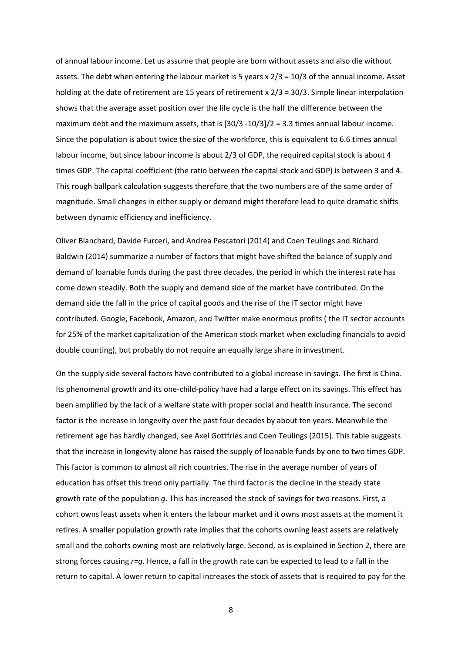of annual labour income. Let us assume that people are born without assets and also die without assets. The debt when entering the labour market is 5 years x 2/3 = 10/3 of the annual income. Asset holding at the date of retirement are 15 years of retirement x 2/3 = 30/3. Simple linear interpolation shows that the average asset position over the life cycle is the half the difference between the maximum debt and the maximum assets, that is [30/3 -10/3]/2 = 3.3 times annual labour income. Since the population is about twice the size of the workforce, this is equivalent to 6.6 times annual labour income, but since labour income is about 2/3 of GDP, the required capital stock is about 4 times GDP. The capital coefficient (the ratio between the capital stock and GDP) is between 3 and 4. This rough ballpark calculation suggests therefore that the two numbers are of the same order of magnitude. Small changes in either supply or demand might therefore lead to quite dramatic shifts between dynamic efficiency and inefficiency.

Oliver Blanchard, Davide Furceri, and Andrea Pescatori (2014) and Coen Teulings and Richard Baldwin (2014) summarize a number of factors that might have shifted the balance of supply and demand of loanable funds during the past three decades, the period in which the interest rate has come down steadily. Both the supply and demand side of the market have contributed. On the demand side the fall in the price of capital goods and the rise of the IT sector might have contributed. Google, Facebook, Amazon, and Twitter make enormous profits ( the IT sector accounts for 25% of the market capitalization of the American stock market when excluding financials to avoid double counting), but probably do not require an equally large share in investment.

On the supply side several factors have contributed to a global increase in savings. The first is China. Its phenomenal growth and its one-child-policy have had a large effect on its savings. This effect has been amplified by the lack of a welfare state with proper social and health insurance. The second factor is the increase in longevity over the past four decades by about ten years. Meanwhile the retirement age has hardly changed, see Axel Gottfries and Coen Teulings (2015). This table suggests that the increase in longevity alone has raised the supply of loanable funds by one to two times GDP. This factor is common to almost all rich countries. The rise in the average number of years of education has offset this trend only partially. The third factor is the decline in the steady state growth rate of the population *g*. This has increased the stock of savings for two reasons. First, a cohort owns least assets when it enters the labour market and it owns most assets at the moment it retires. A smaller population growth rate implies that the cohorts owning least assets are relatively small and the cohorts owning most are relatively large. Second, as is explained in Section 2, there are strong forces causing *r=g*. Hence, a fall in the growth rate can be expected to lead to a fall in the return to capital. A lower return to capital increases the stock of assets that is required to pay for the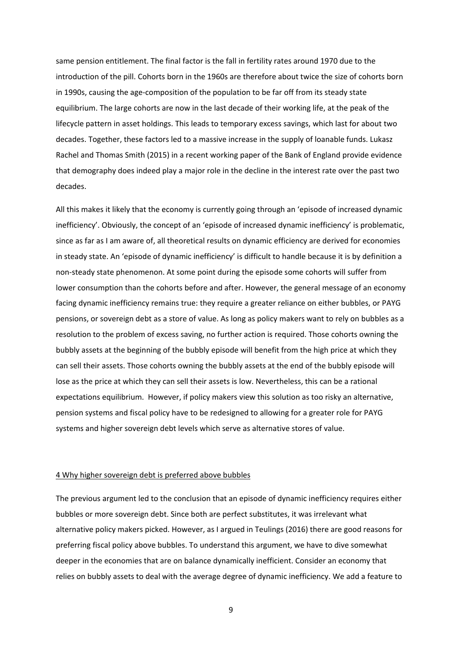same pension entitlement. The final factor is the fall in fertility rates around 1970 due to the introduction of the pill. Cohorts born in the 1960s are therefore about twice the size of cohorts born in 1990s, causing the age-composition of the population to be far off from its steady state equilibrium. The large cohorts are now in the last decade of their working life, at the peak of the lifecycle pattern in asset holdings. This leads to temporary excess savings, which last for about two decades. Together, these factors led to a massive increase in the supply of loanable funds. Lukasz Rachel and Thomas Smith (2015) in a recent working paper of the Bank of England provide evidence that demography does indeed play a major role in the decline in the interest rate over the past two decades.

All this makes it likely that the economy is currently going through an 'episode of increased dynamic inefficiency'. Obviously, the concept of an 'episode of increased dynamic inefficiency' is problematic, since as far as I am aware of, all theoretical results on dynamic efficiency are derived for economies in steady state. An 'episode of dynamic inefficiency' is difficult to handle because it is by definition a non-steady state phenomenon. At some point during the episode some cohorts will suffer from lower consumption than the cohorts before and after. However, the general message of an economy facing dynamic inefficiency remains true: they require a greater reliance on either bubbles, or PAYG pensions, or sovereign debt as a store of value. As long as policy makers want to rely on bubbles as a resolution to the problem of excess saving, no further action is required. Those cohorts owning the bubbly assets at the beginning of the bubbly episode will benefit from the high price at which they can sell their assets. Those cohorts owning the bubbly assets at the end of the bubbly episode will lose as the price at which they can sell their assets is low. Nevertheless, this can be a rational expectations equilibrium. However, if policy makers view this solution as too risky an alternative, pension systems and fiscal policy have to be redesigned to allowing for a greater role for PAYG systems and higher sovereign debt levels which serve as alternative stores of value.

#### 4 Why higher sovereign debt is preferred above bubbles

The previous argument led to the conclusion that an episode of dynamic inefficiency requires either bubbles or more sovereign debt. Since both are perfect substitutes, it was irrelevant what alternative policy makers picked. However, as I argued in Teulings (2016) there are good reasons for preferring fiscal policy above bubbles. To understand this argument, we have to dive somewhat deeper in the economies that are on balance dynamically inefficient. Consider an economy that relies on bubbly assets to deal with the average degree of dynamic inefficiency. We add a feature to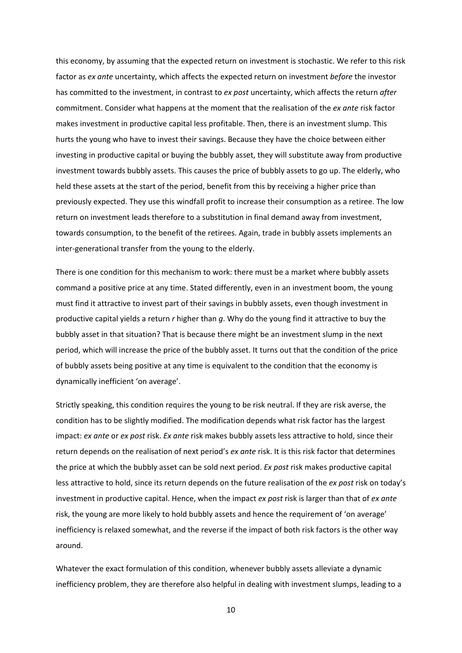this economy, by assuming that the expected return on investment is stochastic. We refer to this risk factor as *ex ante* uncertainty, which affects the expected return on investment *before* the investor has committed to the investment, in contrast to *ex post* uncertainty, which affects the return *after* commitment. Consider what happens at the moment that the realisation of the *ex ante* risk factor makes investment in productive capital less profitable. Then, there is an investment slump. This hurts the young who have to invest their savings. Because they have the choice between either investing in productive capital or buying the bubbly asset, they will substitute away from productive investment towards bubbly assets. This causes the price of bubbly assets to go up. The elderly, who held these assets at the start of the period, benefit from this by receiving a higher price than previously expected. They use this windfall profit to increase their consumption as a retiree. The low return on investment leads therefore to a substitution in final demand away from investment, towards consumption, to the benefit of the retirees. Again, trade in bubbly assets implements an inter-generational transfer from the young to the elderly.

There is one condition for this mechanism to work: there must be a market where bubbly assets command a positive price at any time. Stated differently, even in an investment boom, the young must find it attractive to invest part of their savings in bubbly assets, even though investment in productive capital yields a return *r* higher than *g*. Why do the young find it attractive to buy the bubbly asset in that situation? That is because there might be an investment slump in the next period, which will increase the price of the bubbly asset. It turns out that the condition of the price of bubbly assets being positive at any time is equivalent to the condition that the economy is dynamically inefficient 'on average'.

Strictly speaking, this condition requires the young to be risk neutral. If they are risk averse, the condition has to be slightly modified. The modification depends what risk factor has the largest impact: *ex ante* or *ex post* risk. *Ex ante* risk makes bubbly assets less attractive to hold, since their return depends on the realisation of next period's *ex ante* risk. It is this risk factor that determines the price at which the bubbly asset can be sold next period. *Ex post* risk makes productive capital less attractive to hold, since its return depends on the future realisation of the *ex post* risk on today's investment in productive capital. Hence, when the impact *ex post* risk is larger than that of *ex ante* risk, the young are more likely to hold bubbly assets and hence the requirement of 'on average' inefficiency is relaxed somewhat, and the reverse if the impact of both risk factors is the other way around.

Whatever the exact formulation of this condition, whenever bubbly assets alleviate a dynamic inefficiency problem, they are therefore also helpful in dealing with investment slumps, leading to a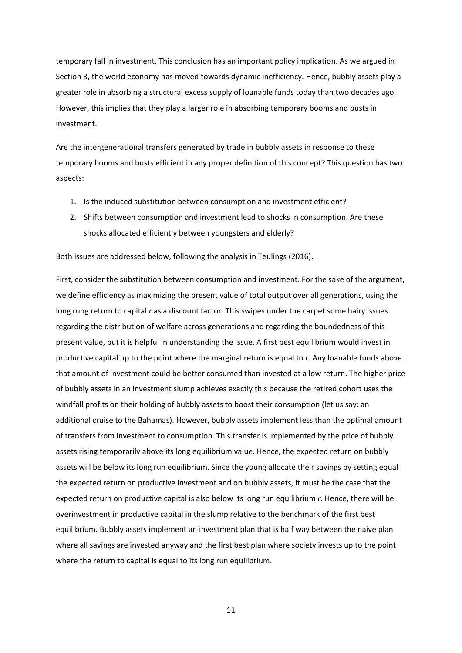temporary fall in investment. This conclusion has an important policy implication. As we argued in Section 3, the world economy has moved towards dynamic inefficiency. Hence, bubbly assets play a greater role in absorbing a structural excess supply of loanable funds today than two decades ago. However, this implies that they play a larger role in absorbing temporary booms and busts in investment.

Are the intergenerational transfers generated by trade in bubbly assets in response to these temporary booms and busts efficient in any proper definition of this concept? This question has two aspects:

- 1. Is the induced substitution between consumption and investment efficient?
- 2. Shifts between consumption and investment lead to shocks in consumption. Are these shocks allocated efficiently between youngsters and elderly?

Both issues are addressed below, following the analysis in Teulings (2016).

First, consider the substitution between consumption and investment. For the sake of the argument, we define efficiency as maximizing the present value of total output over all generations, using the long rung return to capital *r* as a discount factor. This swipes under the carpet some hairy issues regarding the distribution of welfare across generations and regarding the boundedness of this present value, but it is helpful in understanding the issue. A first best equilibrium would invest in productive capital up to the point where the marginal return is equal to *r*. Any loanable funds above that amount of investment could be better consumed than invested at a low return. The higher price of bubbly assets in an investment slump achieves exactly this because the retired cohort uses the windfall profits on their holding of bubbly assets to boost their consumption (let us say: an additional cruise to the Bahamas). However, bubbly assets implement less than the optimal amount of transfers from investment to consumption. This transfer is implemented by the price of bubbly assets rising temporarily above its long equilibrium value. Hence, the expected return on bubbly assets will be below its long run equilibrium. Since the young allocate their savings by setting equal the expected return on productive investment and on bubbly assets, it must be the case that the expected return on productive capital is also below its long run equilibrium *r*. Hence, there will be overinvestment in productive capital in the slump relative to the benchmark of the first best equilibrium. Bubbly assets implement an investment plan that is half way between the naive plan where all savings are invested anyway and the first best plan where society invests up to the point where the return to capital is equal to its long run equilibrium.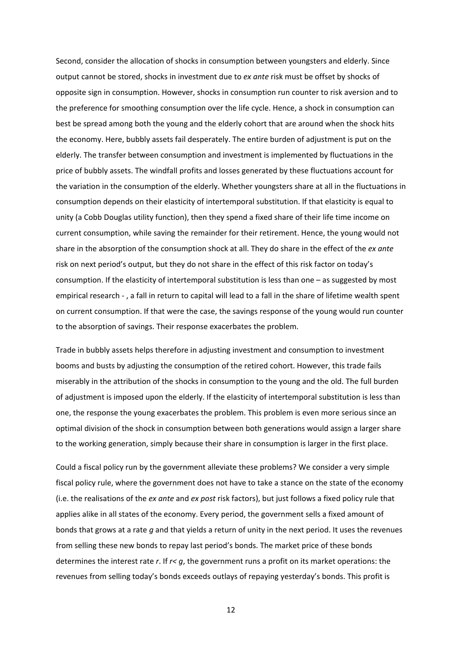Second, consider the allocation of shocks in consumption between youngsters and elderly. Since output cannot be stored, shocks in investment due to *ex ante* risk must be offset by shocks of opposite sign in consumption. However, shocks in consumption run counter to risk aversion and to the preference for smoothing consumption over the life cycle. Hence, a shock in consumption can best be spread among both the young and the elderly cohort that are around when the shock hits the economy. Here, bubbly assets fail desperately. The entire burden of adjustment is put on the elderly. The transfer between consumption and investment is implemented by fluctuations in the price of bubbly assets. The windfall profits and losses generated by these fluctuations account for the variation in the consumption of the elderly. Whether youngsters share at all in the fluctuations in consumption depends on their elasticity of intertemporal substitution. If that elasticity is equal to unity (a Cobb Douglas utility function), then they spend a fixed share of their life time income on current consumption, while saving the remainder for their retirement. Hence, the young would not share in the absorption of the consumption shock at all. They do share in the effect of the *ex ante*  risk on next period's output, but they do not share in the effect of this risk factor on today's consumption. If the elasticity of intertemporal substitution is less than one – as suggested by most empirical research - , a fall in return to capital will lead to a fall in the share of lifetime wealth spent on current consumption. If that were the case, the savings response of the young would run counter to the absorption of savings. Their response exacerbates the problem.

Trade in bubbly assets helps therefore in adjusting investment and consumption to investment booms and busts by adjusting the consumption of the retired cohort. However, this trade fails miserably in the attribution of the shocks in consumption to the young and the old. The full burden of adjustment is imposed upon the elderly. If the elasticity of intertemporal substitution is less than one, the response the young exacerbates the problem. This problem is even more serious since an optimal division of the shock in consumption between both generations would assign a larger share to the working generation, simply because their share in consumption is larger in the first place.

Could a fiscal policy run by the government alleviate these problems? We consider a very simple fiscal policy rule, where the government does not have to take a stance on the state of the economy (i.e. the realisations of the *ex ante* and *ex post* risk factors), but just follows a fixed policy rule that applies alike in all states of the economy. Every period, the government sells a fixed amount of bonds that grows at a rate *g* and that yields a return of unity in the next period. It uses the revenues from selling these new bonds to repay last period's bonds. The market price of these bonds determines the interest rate *r*. If *r< g*, the government runs a profit on its market operations: the revenues from selling today's bonds exceeds outlays of repaying yesterday's bonds. This profit is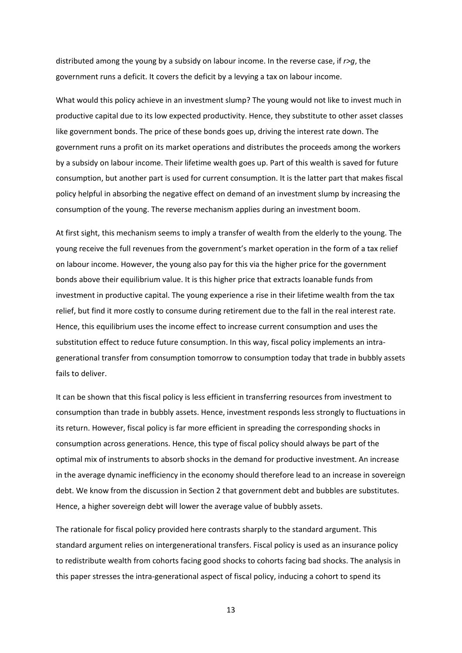distributed among the young by a subsidy on labour income. In the reverse case, if *r>g*, the government runs a deficit. It covers the deficit by a levying a tax on labour income.

What would this policy achieve in an investment slump? The young would not like to invest much in productive capital due to its low expected productivity. Hence, they substitute to other asset classes like government bonds. The price of these bonds goes up, driving the interest rate down. The government runs a profit on its market operations and distributes the proceeds among the workers by a subsidy on labour income. Their lifetime wealth goes up. Part of this wealth is saved for future consumption, but another part is used for current consumption. It is the latter part that makes fiscal policy helpful in absorbing the negative effect on demand of an investment slump by increasing the consumption of the young. The reverse mechanism applies during an investment boom.

At first sight, this mechanism seems to imply a transfer of wealth from the elderly to the young. The young receive the full revenues from the government's market operation in the form of a tax relief on labour income. However, the young also pay for this via the higher price for the government bonds above their equilibrium value. It is this higher price that extracts loanable funds from investment in productive capital. The young experience a rise in their lifetime wealth from the tax relief, but find it more costly to consume during retirement due to the fall in the real interest rate. Hence, this equilibrium uses the income effect to increase current consumption and uses the substitution effect to reduce future consumption. In this way, fiscal policy implements an intragenerational transfer from consumption tomorrow to consumption today that trade in bubbly assets fails to deliver.

It can be shown that this fiscal policy is less efficient in transferring resources from investment to consumption than trade in bubbly assets. Hence, investment responds less strongly to fluctuations in its return. However, fiscal policy is far more efficient in spreading the corresponding shocks in consumption across generations. Hence, this type of fiscal policy should always be part of the optimal mix of instruments to absorb shocks in the demand for productive investment. An increase in the average dynamic inefficiency in the economy should therefore lead to an increase in sovereign debt. We know from the discussion in Section 2 that government debt and bubbles are substitutes. Hence, a higher sovereign debt will lower the average value of bubbly assets.

The rationale for fiscal policy provided here contrasts sharply to the standard argument. This standard argument relies on intergenerational transfers. Fiscal policy is used as an insurance policy to redistribute wealth from cohorts facing good shocks to cohorts facing bad shocks. The analysis in this paper stresses the intra-generational aspect of fiscal policy, inducing a cohort to spend its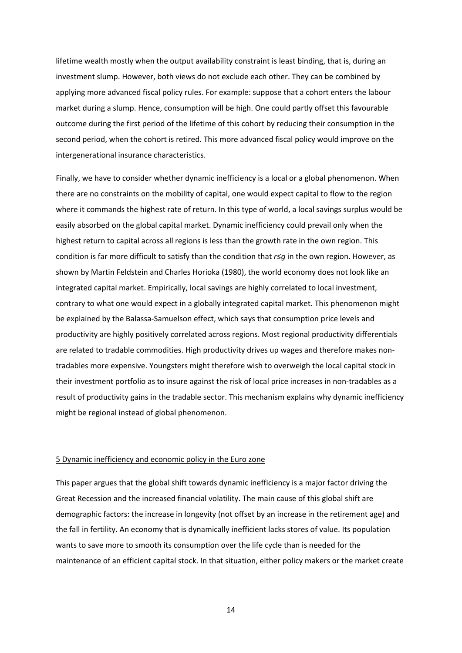lifetime wealth mostly when the output availability constraint is least binding, that is, during an investment slump. However, both views do not exclude each other. They can be combined by applying more advanced fiscal policy rules. For example: suppose that a cohort enters the labour market during a slump. Hence, consumption will be high. One could partly offset this favourable outcome during the first period of the lifetime of this cohort by reducing their consumption in the second period, when the cohort is retired. This more advanced fiscal policy would improve on the intergenerational insurance characteristics.

Finally, we have to consider whether dynamic inefficiency is a local or a global phenomenon. When there are no constraints on the mobility of capital, one would expect capital to flow to the region where it commands the highest rate of return. In this type of world, a local savings surplus would be easily absorbed on the global capital market. Dynamic inefficiency could prevail only when the highest return to capital across all regions is less than the growth rate in the own region. This condition is far more difficult to satisfy than the condition that *r≤g* in the own region. However, as shown by Martin Feldstein and Charles Horioka (1980), the world economy does not look like an integrated capital market. Empirically, local savings are highly correlated to local investment, contrary to what one would expect in a globally integrated capital market. This phenomenon might be explained by the Balassa-Samuelson effect, which says that consumption price levels and productivity are highly positively correlated across regions. Most regional productivity differentials are related to tradable commodities. High productivity drives up wages and therefore makes nontradables more expensive. Youngsters might therefore wish to overweigh the local capital stock in their investment portfolio as to insure against the risk of local price increases in non-tradables as a result of productivity gains in the tradable sector. This mechanism explains why dynamic inefficiency might be regional instead of global phenomenon.

#### 5 Dynamic inefficiency and economic policy in the Euro zone

This paper argues that the global shift towards dynamic inefficiency is a major factor driving the Great Recession and the increased financial volatility. The main cause of this global shift are demographic factors: the increase in longevity (not offset by an increase in the retirement age) and the fall in fertility. An economy that is dynamically inefficient lacks stores of value. Its population wants to save more to smooth its consumption over the life cycle than is needed for the maintenance of an efficient capital stock. In that situation, either policy makers or the market create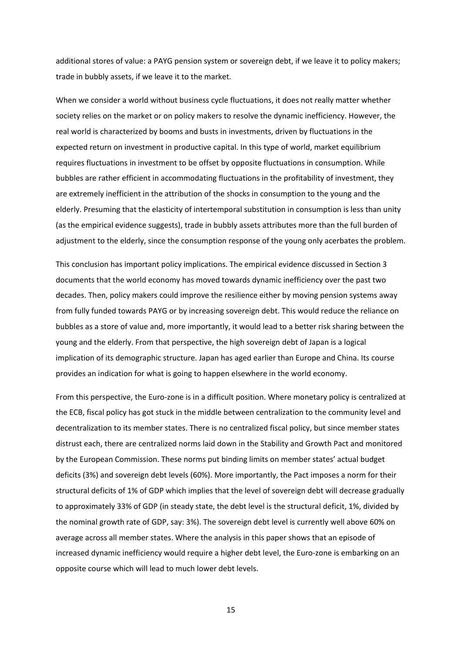additional stores of value: a PAYG pension system or sovereign debt, if we leave it to policy makers; trade in bubbly assets, if we leave it to the market.

When we consider a world without business cycle fluctuations, it does not really matter whether society relies on the market or on policy makers to resolve the dynamic inefficiency. However, the real world is characterized by booms and busts in investments, driven by fluctuations in the expected return on investment in productive capital. In this type of world, market equilibrium requires fluctuations in investment to be offset by opposite fluctuations in consumption. While bubbles are rather efficient in accommodating fluctuations in the profitability of investment, they are extremely inefficient in the attribution of the shocks in consumption to the young and the elderly. Presuming that the elasticity of intertemporal substitution in consumption is less than unity (as the empirical evidence suggests), trade in bubbly assets attributes more than the full burden of adjustment to the elderly, since the consumption response of the young only acerbates the problem.

This conclusion has important policy implications. The empirical evidence discussed in Section 3 documents that the world economy has moved towards dynamic inefficiency over the past two decades. Then, policy makers could improve the resilience either by moving pension systems away from fully funded towards PAYG or by increasing sovereign debt. This would reduce the reliance on bubbles as a store of value and, more importantly, it would lead to a better risk sharing between the young and the elderly. From that perspective, the high sovereign debt of Japan is a logical implication of its demographic structure. Japan has aged earlier than Europe and China. Its course provides an indication for what is going to happen elsewhere in the world economy.

From this perspective, the Euro-zone is in a difficult position. Where monetary policy is centralized at the ECB, fiscal policy has got stuck in the middle between centralization to the community level and decentralization to its member states. There is no centralized fiscal policy, but since member states distrust each, there are centralized norms laid down in the Stability and Growth Pact and monitored by the European Commission. These norms put binding limits on member states' actual budget deficits (3%) and sovereign debt levels (60%). More importantly, the Pact imposes a norm for their structural deficits of 1% of GDP which implies that the level of sovereign debt will decrease gradually to approximately 33% of GDP (in steady state, the debt level is the structural deficit, 1%, divided by the nominal growth rate of GDP, say: 3%). The sovereign debt level is currently well above 60% on average across all member states. Where the analysis in this paper shows that an episode of increased dynamic inefficiency would require a higher debt level, the Euro-zone is embarking on an opposite course which will lead to much lower debt levels.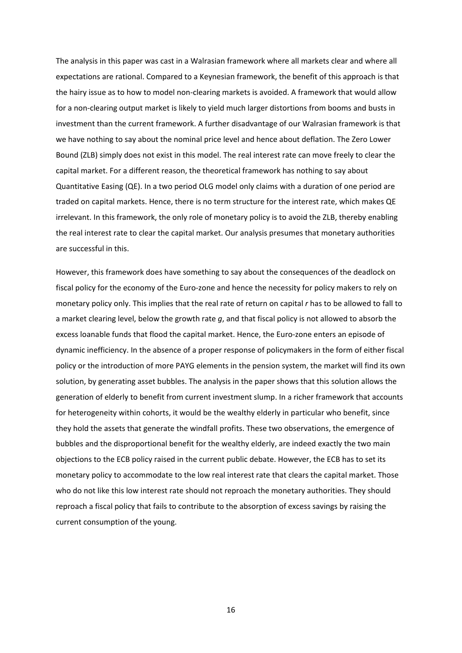The analysis in this paper was cast in a Walrasian framework where all markets clear and where all expectations are rational. Compared to a Keynesian framework, the benefit of this approach is that the hairy issue as to how to model non-clearing markets is avoided. A framework that would allow for a non-clearing output market is likely to yield much larger distortions from booms and busts in investment than the current framework. A further disadvantage of our Walrasian framework is that we have nothing to say about the nominal price level and hence about deflation. The Zero Lower Bound (ZLB) simply does not exist in this model. The real interest rate can move freely to clear the capital market. For a different reason, the theoretical framework has nothing to say about Quantitative Easing (QE). In a two period OLG model only claims with a duration of one period are traded on capital markets. Hence, there is no term structure for the interest rate, which makes QE irrelevant. In this framework, the only role of monetary policy is to avoid the ZLB, thereby enabling the real interest rate to clear the capital market. Our analysis presumes that monetary authorities are successful in this.

However, this framework does have something to say about the consequences of the deadlock on fiscal policy for the economy of the Euro-zone and hence the necessity for policy makers to rely on monetary policy only. This implies that the real rate of return on capital *r* has to be allowed to fall to a market clearing level, below the growth rate *g*, and that fiscal policy is not allowed to absorb the excess loanable funds that flood the capital market. Hence, the Euro-zone enters an episode of dynamic inefficiency. In the absence of a proper response of policymakers in the form of either fiscal policy or the introduction of more PAYG elements in the pension system, the market will find its own solution, by generating asset bubbles. The analysis in the paper shows that this solution allows the generation of elderly to benefit from current investment slump. In a richer framework that accounts for heterogeneity within cohorts, it would be the wealthy elderly in particular who benefit, since they hold the assets that generate the windfall profits. These two observations, the emergence of bubbles and the disproportional benefit for the wealthy elderly, are indeed exactly the two main objections to the ECB policy raised in the current public debate. However, the ECB has to set its monetary policy to accommodate to the low real interest rate that clears the capital market. Those who do not like this low interest rate should not reproach the monetary authorities. They should reproach a fiscal policy that fails to contribute to the absorption of excess savings by raising the current consumption of the young.